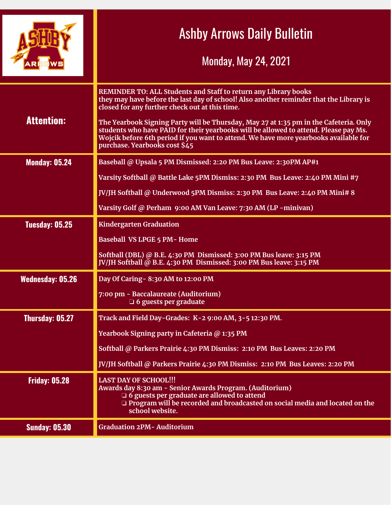|                         | <b>Ashby Arrows Daily Bulletin</b><br><b>Monday, May 24, 2021</b>                                                                                                                                                                                                                                                                                                                                                                                                                                                     |
|-------------------------|-----------------------------------------------------------------------------------------------------------------------------------------------------------------------------------------------------------------------------------------------------------------------------------------------------------------------------------------------------------------------------------------------------------------------------------------------------------------------------------------------------------------------|
| <b>Attention:</b>       | REMINDER TO: ALL Students and Staff to return any Library books<br>they may have before the last day of school! Also another reminder that the Library is<br>closed for any further check out at this time.<br>The Yearbook Signing Party will be Thursday, May 27 at 1:35 pm in the Cafeteria. Only<br>students who have PAID for their yearbooks will be allowed to attend. Please pay Ms.<br>Wojcik before 6th period if you want to attend. We have more yearbooks available for<br>purchase. Yearbooks cost \$45 |
| <b>Monday: 05.24</b>    | Baseball @ Upsala 5 PM Dismissed: 2:20 PM Bus Leave: 2:30PM AP#1                                                                                                                                                                                                                                                                                                                                                                                                                                                      |
|                         | Varsity Softball @ Battle Lake 5PM Dismiss: 2:30 PM Bus Leave: 2:40 PM Mini #7                                                                                                                                                                                                                                                                                                                                                                                                                                        |
|                         | JV/JH Softball @ Underwood 5PM Dismiss: 2:30 PM Bus Leave: 2:40 PM Mini# 8                                                                                                                                                                                                                                                                                                                                                                                                                                            |
|                         | Varsity Golf @ Perham 9:00 AM Van Leave: 7:30 AM (LP -minivan)                                                                                                                                                                                                                                                                                                                                                                                                                                                        |
| Tuesday: 05.25          | <b>Kindergarten Graduation</b>                                                                                                                                                                                                                                                                                                                                                                                                                                                                                        |
|                         | <b>Baseball VS LPGE 5 PM-Home</b>                                                                                                                                                                                                                                                                                                                                                                                                                                                                                     |
|                         | Softball (DBL) @ B.E. 4:30 PM Dismissed: 3:00 PM Bus leave: 3:15 PM<br>JV/JH Softball @ B.E. 4:30 PM Dismissed: 3:00 PM Bus leave: 3:15 PM                                                                                                                                                                                                                                                                                                                                                                            |
| <b>Wednesday: 05.26</b> | Day Of Caring - 8:30 AM to 12:00 PM                                                                                                                                                                                                                                                                                                                                                                                                                                                                                   |
|                         | 7:00 pm - Baccalaureate (Auditorium)<br>$\Box$ 6 guests per graduate                                                                                                                                                                                                                                                                                                                                                                                                                                                  |
| Thursday: 05.27         | Track and Field Day-Grades: K-2 9:00 AM, 3-5 12:30 PM.                                                                                                                                                                                                                                                                                                                                                                                                                                                                |
|                         | Yearbook Signing party in Cafeteria @ 1:35 PM                                                                                                                                                                                                                                                                                                                                                                                                                                                                         |
|                         | Softball @ Parkers Prairie 4:30 PM Dismiss: 2:10 PM Bus Leaves: 2:20 PM                                                                                                                                                                                                                                                                                                                                                                                                                                               |
|                         | JV/JH Softball @ Parkers Prairie 4:30 PM Dismiss: 2:10 PM Bus Leaves: 2:20 PM                                                                                                                                                                                                                                                                                                                                                                                                                                         |
| <b>Friday: 05.28</b>    | <b>LAST DAY OF SCHOOL!!!</b><br>Awards day 8:30 am - Senior Awards Program. (Auditorium)<br>$\Box$ 6 guests per graduate are allowed to attend<br>$\Box$ Program will be recorded and broadcasted on social media and located on the<br>school website.                                                                                                                                                                                                                                                               |
| <b>Sunday: 05.30</b>    | <b>Graduation 2PM- Auditorium</b>                                                                                                                                                                                                                                                                                                                                                                                                                                                                                     |